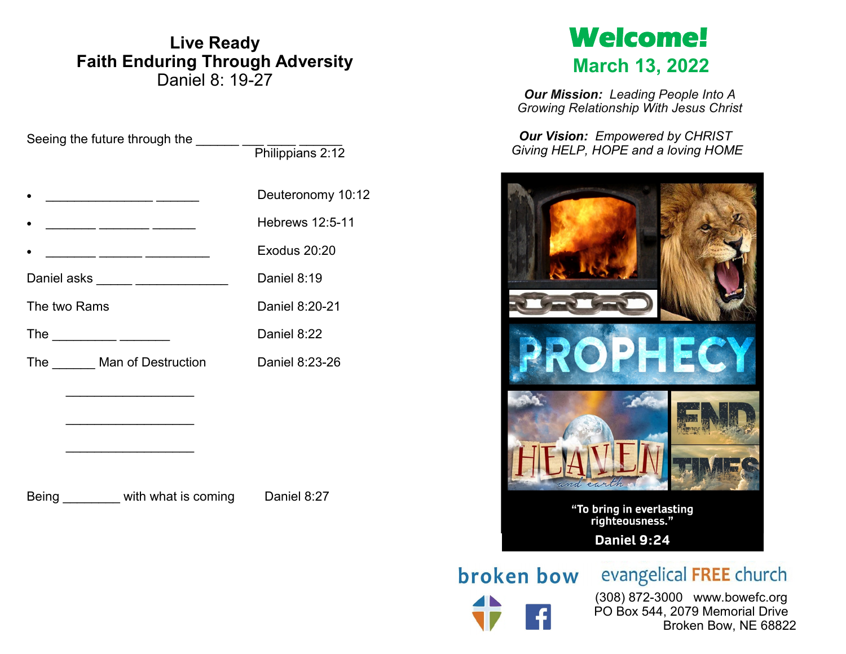## **Live Ready Faith Enduring Through Adversity** Daniel 8: 19-27

Seeing the future through the \_\_\_\_\_\_ \_\_\_ \_\_\_ \_\_\_\_ \_\_\_\_\_

|                                                                                                                 | Philippians 2:12  |
|-----------------------------------------------------------------------------------------------------------------|-------------------|
| $\bullet$                                                                                                       | Deuteronomy 10:12 |
| $\bullet$                                                                                                       | Hebrews 12:5-11   |
| $\bullet$                                                                                                       | Exodus 20:20      |
| Daniel asks ______ _______________                                                                              | Daniel 8:19       |
| The two Rams                                                                                                    | Daniel 8:20-21    |
| The ____________ ________                                                                                       | Daniel 8:22       |
| The _______Man of Destruction                                                                                   | Daniel 8:23-26    |
| the control of the control of the control of the control of the control of                                      |                   |
| the control of the control of the control of the control of the control of the control of                       |                   |
| the contract of the contract of the contract of the contract of the contract of the contract of the contract of |                   |
|                                                                                                                 |                   |

Being **busises** with what is coming **Daniel 8:27** 

# **Welcome! March 13, 2022**

*Our Mission: Leading People Into A Growing Relationship With Jesus Christ*

*Our Vision: Empowered by CHRIST Giving HELP, HOPE and a loving HOME*



**broken bow** evangelical FREE church

 (308) 872-3000 www.bowefc.org PO Box 544, 2079 Memorial Drive Broken Bow, NE 68822